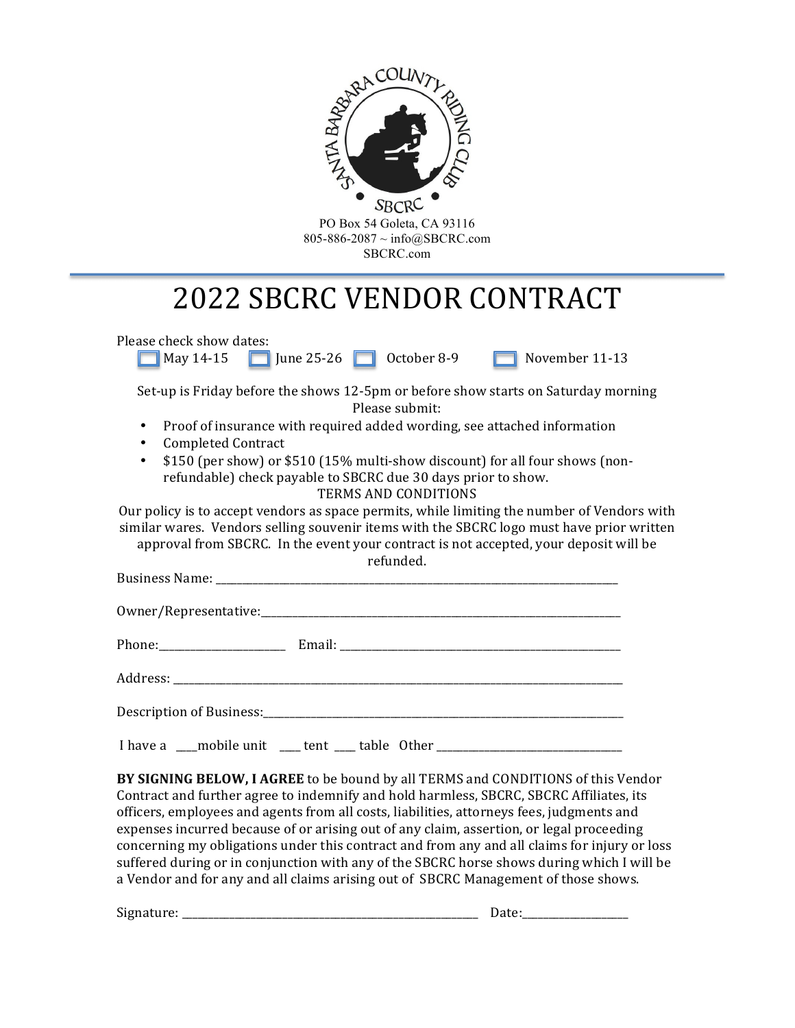

# 2022 SBCRC VENDOR CONTRACT

Please check show dates:  $\blacksquare$  May 14-15  $\blacksquare$  June 25-26  $\blacksquare$  October 8-9  $\blacksquare$  November 11-13 Set-up is Friday before the shows 12-5pm or before show starts on Saturday morning Please submit: • Proof of insurance with required added wording, see attached information • Completed Contract • \$150 (per show) or \$510 (15% multi-show discount) for all four shows (nonrefundable) check payable to SBCRC due 30 days prior to show. TERMS AND CONDITIONS Our policy is to accept vendors as space permits, while limiting the number of Vendors with similar wares. Vendors selling souvenir items with the SBCRC logo must have prior written approval from SBCRC. In the event your contract is not accepted, your deposit will be refunded. Business Name: \_\_\_\_\_\_\_\_\_\_\_\_\_\_\_\_\_\_\_\_\_\_\_\_\_\_\_\_\_\_\_\_\_\_\_\_\_\_\_\_\_\_\_\_\_\_\_\_\_\_\_\_\_\_\_\_\_\_\_\_\_\_\_\_\_\_\_\_\_\_\_\_\_\_\_\_ Owner/Representative:\_\_\_\_\_\_\_\_\_\_\_\_\_\_\_\_\_\_\_\_\_\_\_\_\_\_\_\_\_\_\_\_\_\_\_\_\_\_\_\_\_\_\_\_\_\_\_\_\_\_\_\_\_\_\_\_\_\_\_\_\_\_\_\_\_\_\_\_ Phone: Email: Email: Email: 2008. Email: 2008. Email: 2008. Email: 2008. Email: 2008. Email: 2008. Email: 2008. Email: 2008. Email: 2008. Email: 2008. Email: 2008. Email: 2008. Email: 2008. Email: 2008. Email: 2008. Email: Address: which is a set of the set of the set of the set of the set of the set of the set of the set of the set of the set of the set of the set of the set of the set of the set of the set of the set of the set of the set Description of Business:\_\_\_\_\_\_\_\_\_\_\_\_\_\_\_\_\_\_\_\_\_\_\_\_\_\_\_\_\_\_\_\_\_\_\_\_\_\_\_\_\_\_\_\_\_\_\_\_\_\_\_\_\_\_\_\_\_\_\_\_\_\_\_\_\_\_\_\_ I have a \_\_\_\_mobile unit \_\_\_\_\_tent \_\_\_\_\_table Other

**BY SIGNING BELOW, I AGREE** to be bound by all TERMS and CONDITIONS of this Vendor Contract and further agree to indemnify and hold harmless, SBCRC, SBCRC Affiliates, its officers, employees and agents from all costs, liabilities, attorneys fees, judgments and expenses incurred because of or arising out of any claim, assertion, or legal proceeding concerning my obligations under this contract and from any and all claims for injury or loss suffered during or in conjunction with any of the SBCRC horse shows during which I will be a Vendor and for any and all claims arising out of SBCRC Management of those shows.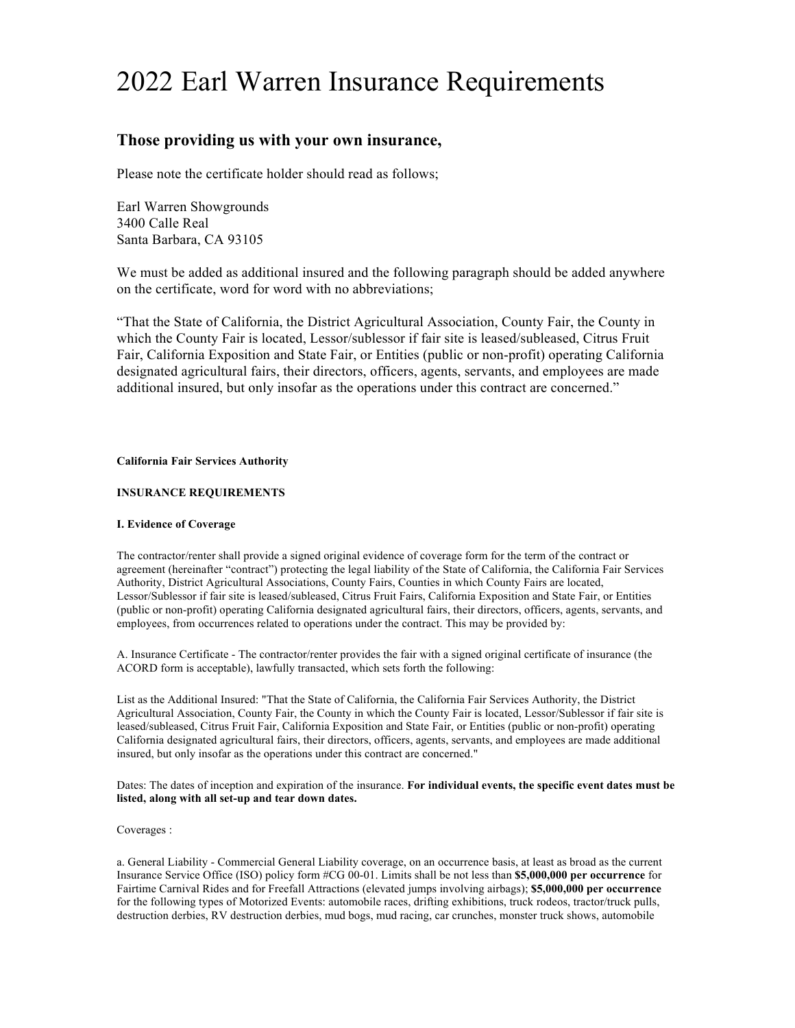# 2022 Earl Warren Insurance Requirements

# **Those providing us with your own insurance,**

Please note the certificate holder should read as follows;

Earl Warren Showgrounds 3400 Calle Real Santa Barbara, CA 93105

We must be added as additional insured and the following paragraph should be added anywhere on the certificate, word for word with no abbreviations;

"That the State of California, the District Agricultural Association, County Fair, the County in which the County Fair is located, Lessor/sublessor if fair site is leased/subleased, Citrus Fruit Fair, California Exposition and State Fair, or Entities (public or non-profit) operating California designated agricultural fairs, their directors, officers, agents, servants, and employees are made additional insured, but only insofar as the operations under this contract are concerned."

#### **California Fair Services Authority**

## **INSURANCE REQUIREMENTS**

## **I. Evidence of Coverage**

The contractor/renter shall provide a signed original evidence of coverage form for the term of the contract or agreement (hereinafter "contract") protecting the legal liability of the State of California, the California Fair Services Authority, District Agricultural Associations, County Fairs, Counties in which County Fairs are located, Lessor/Sublessor if fair site is leased/subleased, Citrus Fruit Fairs, California Exposition and State Fair, or Entities (public or non-profit) operating California designated agricultural fairs, their directors, officers, agents, servants, and employees, from occurrences related to operations under the contract. This may be provided by:

A. Insurance Certificate - The contractor/renter provides the fair with a signed original certificate of insurance (the ACORD form is acceptable), lawfully transacted, which sets forth the following:

List as the Additional Insured: "That the State of California, the California Fair Services Authority, the District Agricultural Association, County Fair, the County in which the County Fair is located, Lessor/Sublessor if fair site is leased/subleased, Citrus Fruit Fair, California Exposition and State Fair, or Entities (public or non-profit) operating California designated agricultural fairs, their directors, officers, agents, servants, and employees are made additional insured, but only insofar as the operations under this contract are concerned."

Dates: The dates of inception and expiration of the insurance. **For individual events, the specific event dates must be listed, along with all set-up and tear down dates.** 

#### Coverages :

a. General Liability - Commercial General Liability coverage, on an occurrence basis, at least as broad as the current Insurance Service Office (ISO) policy form #CG 00-01. Limits shall be not less than **\$5,000,000 per occurrence** for Fairtime Carnival Rides and for Freefall Attractions (elevated jumps involving airbags); **\$5,000,000 per occurrence**  for the following types of Motorized Events: automobile races, drifting exhibitions, truck rodeos, tractor/truck pulls, destruction derbies, RV destruction derbies, mud bogs, mud racing, car crunches, monster truck shows, automobile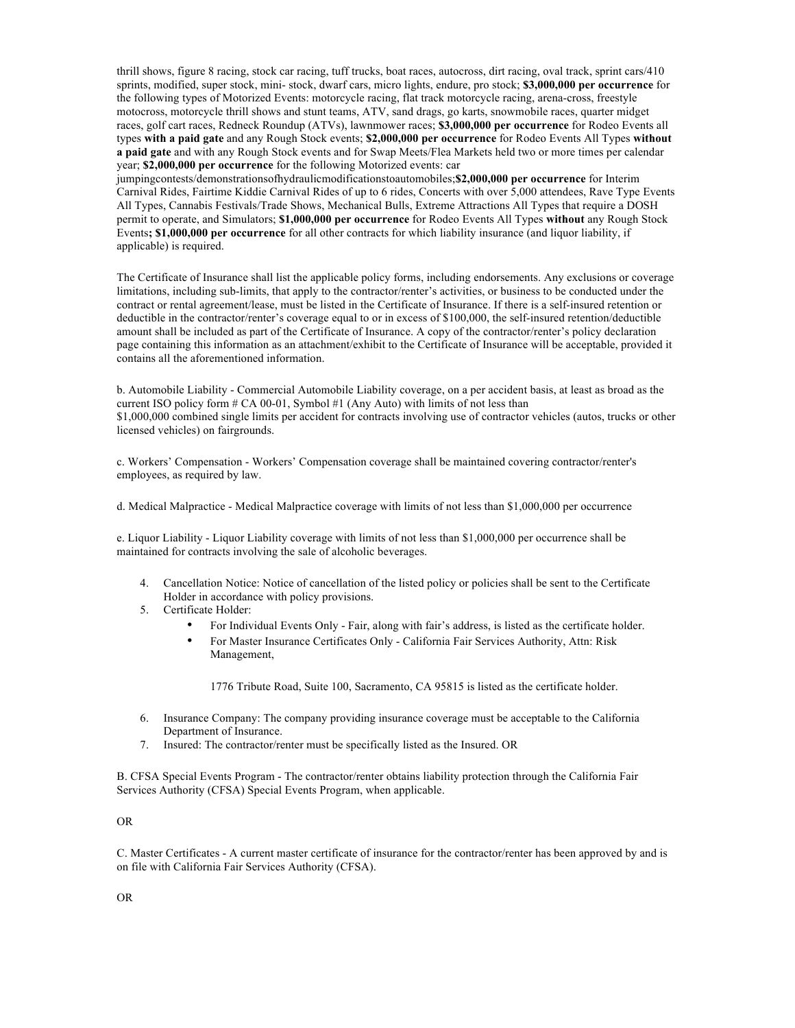thrill shows, figure 8 racing, stock car racing, tuff trucks, boat races, autocross, dirt racing, oval track, sprint cars/410 sprints, modified, super stock, mini- stock, dwarf cars, micro lights, endure, pro stock; **\$3,000,000 per occurrence** for the following types of Motorized Events: motorcycle racing, flat track motorcycle racing, arena-cross, freestyle motocross, motorcycle thrill shows and stunt teams, ATV, sand drags, go karts, snowmobile races, quarter midget races, golf cart races, Redneck Roundup (ATVs), lawnmower races; **\$3,000,000 per occurrence** for Rodeo Events all types **with a paid gate** and any Rough Stock events; **\$2,000,000 per occurrence** for Rodeo Events All Types **without a paid gate** and with any Rough Stock events and for Swap Meets/Flea Markets held two or more times per calendar year; **\$2,000,000 per occurrence** for the following Motorized events: car

jumpingcontests/demonstrationsofhydraulicmodificationstoautomobiles;**\$2,000,000 per occurrence** for Interim Carnival Rides, Fairtime Kiddie Carnival Rides of up to 6 rides, Concerts with over 5,000 attendees, Rave Type Events All Types, Cannabis Festivals/Trade Shows, Mechanical Bulls, Extreme Attractions All Types that require a DOSH permit to operate, and Simulators; **\$1,000,000 per occurrence** for Rodeo Events All Types **without** any Rough Stock Events**; \$1,000,000 per occurrence** for all other contracts for which liability insurance (and liquor liability, if applicable) is required.

The Certificate of Insurance shall list the applicable policy forms, including endorsements. Any exclusions or coverage limitations, including sub-limits, that apply to the contractor/renter's activities, or business to be conducted under the contract or rental agreement/lease, must be listed in the Certificate of Insurance. If there is a self-insured retention or deductible in the contractor/renter's coverage equal to or in excess of \$100,000, the self-insured retention/deductible amount shall be included as part of the Certificate of Insurance. A copy of the contractor/renter's policy declaration page containing this information as an attachment/exhibit to the Certificate of Insurance will be acceptable, provided it contains all the aforementioned information.

b. Automobile Liability - Commercial Automobile Liability coverage, on a per accident basis, at least as broad as the current ISO policy form  $# CA$  00-01, Symbol  $#1$  (Any Auto) with limits of not less than \$1,000,000 combined single limits per accident for contracts involving use of contractor vehicles (autos, trucks or other licensed vehicles) on fairgrounds.

c. Workers' Compensation - Workers' Compensation coverage shall be maintained covering contractor/renter's employees, as required by law.

d. Medical Malpractice - Medical Malpractice coverage with limits of not less than \$1,000,000 per occurrence

e. Liquor Liability - Liquor Liability coverage with limits of not less than \$1,000,000 per occurrence shall be maintained for contracts involving the sale of alcoholic beverages.

- 4. Cancellation Notice: Notice of cancellation of the listed policy or policies shall be sent to the Certificate Holder in accordance with policy provisions.
- 5. Certificate Holder:
	- For Individual Events Only Fair, along with fair's address, is listed as the certificate holder.
	- For Master Insurance Certificates Only California Fair Services Authority, Attn: Risk Management,

1776 Tribute Road, Suite 100, Sacramento, CA 95815 is listed as the certificate holder.

- 6. Insurance Company: The company providing insurance coverage must be acceptable to the California Department of Insurance.
- 7. Insured: The contractor/renter must be specifically listed as the Insured. OR

B. CFSA Special Events Program - The contractor/renter obtains liability protection through the California Fair Services Authority (CFSA) Special Events Program, when applicable.

## OR

C. Master Certificates - A current master certificate of insurance for the contractor/renter has been approved by and is on file with California Fair Services Authority (CFSA).

OR